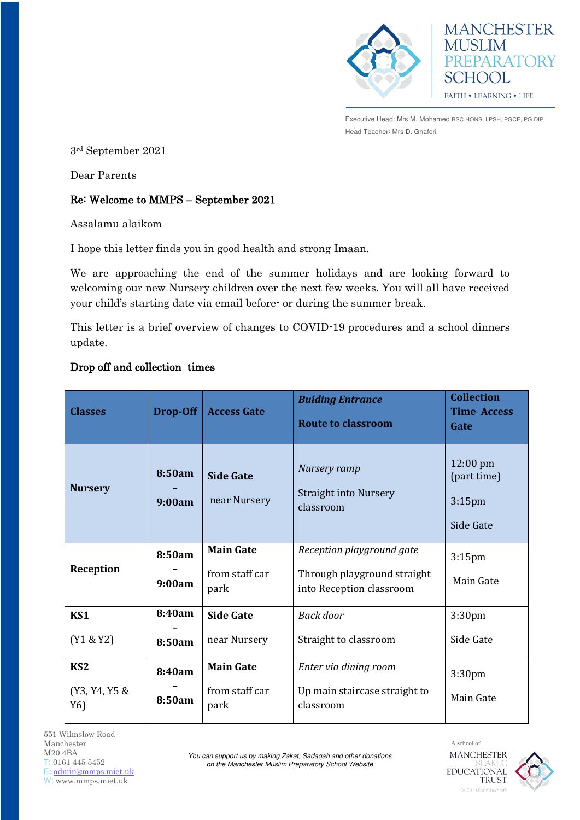



Executive Head: Mrs M. Mohamed BSC.HONS, LPSH, PGCE, PG.DIP Head Teacher: Mrs D. Ghafori

3rd September 2021

Dear Parents

## Re: Welcome to MMPS – September 2021

Assalamu alaikom

I hope this letter finds you in good health and strong Imaan.

We are approaching the end of the summer holidays and are looking forward to welcoming our new Nursery children over the next few weeks. You will all have received your child's starting date via email before- or during the summer break.

This letter is a brief overview of changes to COVID-19 procedures and a school dinners update.

## Drop off and collection times

| <b>Classes</b>                          | Drop-Off         | <b>Access Gate</b>                         | <b>Buiding Entrance</b><br><b>Route to classroom</b>                                 | <b>Collection</b><br><b>Time Access</b><br>Gate             |
|-----------------------------------------|------------------|--------------------------------------------|--------------------------------------------------------------------------------------|-------------------------------------------------------------|
| <b>Nursery</b>                          | 8:50am<br>9:00am | <b>Side Gate</b><br>near Nursery           | Nursery ramp<br><b>Straight into Nursery</b><br>classroom                            | $12:00 \text{ pm}$<br>(part time)<br>$3:15$ pm<br>Side Gate |
| Reception                               | 8:50am<br>9:00am | <b>Main Gate</b><br>from staff car<br>park | Reception playground gate<br>Through playground straight<br>into Reception classroom | $3:15$ pm<br>Main Gate                                      |
| KS1<br>(Y1 & 8Y2)                       | 8:40am<br>8:50am | <b>Side Gate</b><br>near Nursery           | Back door<br>Straight to classroom                                                   | 3:30 <sub>pm</sub><br>Side Gate                             |
| KS <sub>2</sub><br>(Y3, Y4, Y5 &<br>Y6) | 8:40am<br>8:50am | <b>Main Gate</b><br>from staff car<br>park | Enter via dining room<br>Up main staircase straight to<br>classroom                  | 3:30pm<br>Main Gate                                         |

551 Wilmslow Road Manchester M20 4BA T: 0161 445 5452 E: [admin@mmps.miet.uk](mailto:admin@mmps.miet.uk) W: www.mmps.miet.uk

*You can support us by making Zakat, Sadaqah and other donations on the Manchester Muslim Preparatory School Website* 

A school of **MANCHESTER EDUCATIONAL TRUST** 

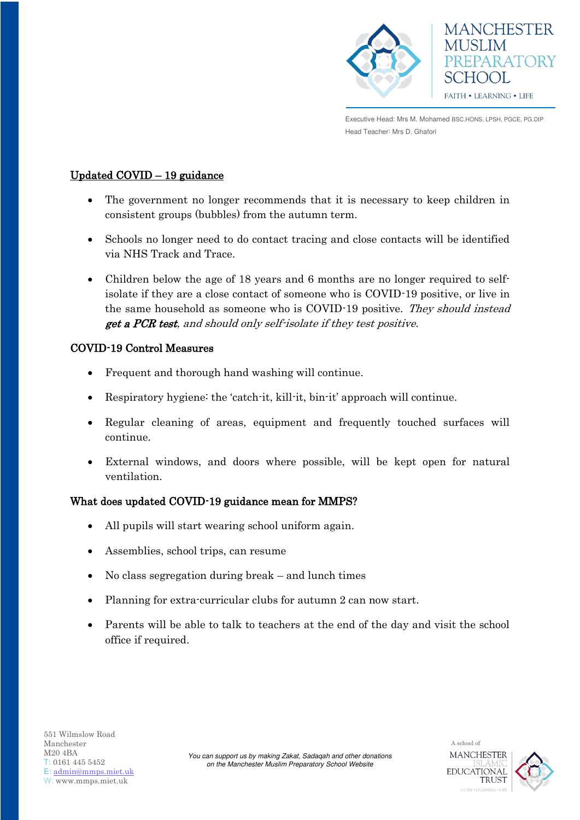



Executive Head: Mrs M. Mohamed BSC.HONS, LPSH, PGCE, PG.DIP Head Teacher: Mrs D. Ghafori

# Updated COVID – 19 guidance

- The government no longer recommends that it is necessary to keep children in consistent groups (bubbles) from the autumn term.
- Schools no longer need to do contact tracing and close contacts will be identified via NHS Track and Trace.
- Children below the age of 18 years and 6 months are no longer required to selfisolate if they are a close contact of someone who is COVID-19 positive, or live in the same household as someone who is COVID-19 positive. They should instead get a PCR test, and should only self-isolate if they test positive.

## COVID-19 Control Measures

- Frequent and thorough hand washing will continue.
- Respiratory hygiene: the 'catch-it, kill-it, bin-it' approach will continue.
- Regular cleaning of areas, equipment and frequently touched surfaces will continue.
- External windows, and doors where possible, will be kept open for natural ventilation.

## What does updated COVID-19 guidance mean for MMPS?

- All pupils will start wearing school uniform again.
- Assemblies, school trips, can resume
- No class segregation during break and lunch times
- Planning for extra-curricular clubs for autumn 2 can now start.
- Parents will be able to talk to teachers at the end of the day and visit the school office if required.